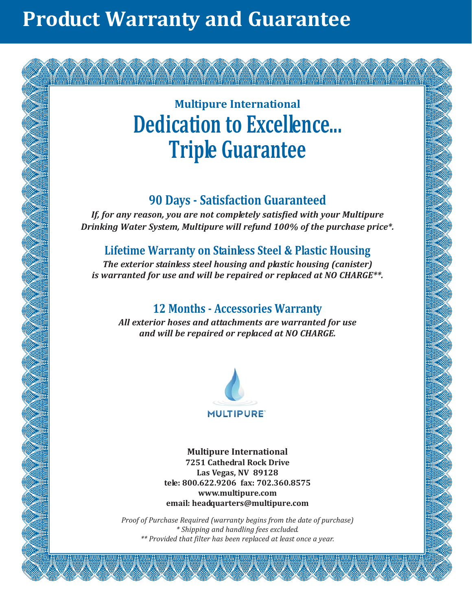# **Product Warranty and Guarantee**

# **Multipure International Dedication to Excellence... Triple Guarantee**

# **90 Days - Satisfaction Guaranteed**

*If, for any reason, you are not completely satisfied with your Multipure Drinking Water System, Multipure will refund 100% of the purchase price\*.*

# **Lifetime Warranty on Stainless Steel & Plastic Housing**

*The exterior stainless steel housing and plastic housing (canister) is warranted for use and will be repaired or replaced at NO CHARGE\*\*.*

# **12 Months - Accessories Warranty**

*All exterior hoses and attachments are warranted for use and will be repaired or replaced at NO CHARGE.*



**Multipure International 7251 Cathedral Rock Drive Las Vegas, NV 89128 tele: 800.622.9206 fax: 702.360.8575 www.multipure.com email: headquarters@multipure.com**

*Proof of Purchase Required (warranty begins from the date of purchase) \* Shipping and handling fees excluded. \*\* Provided that filter has been replaced at least once a year.*